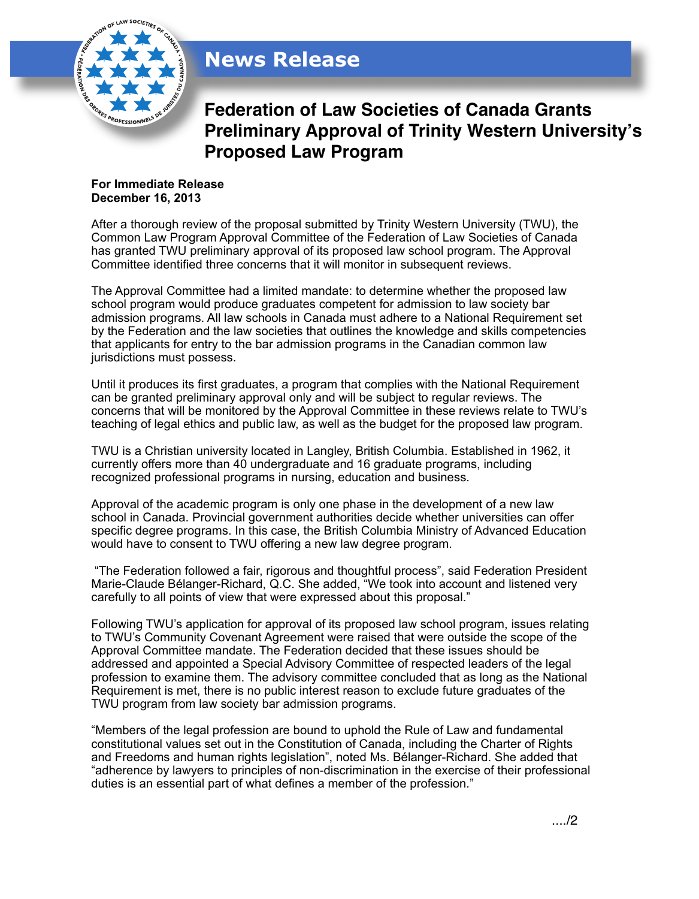

## **News Release**

**Federation of Law Societies of Canada Grants Preliminary Approval of Trinity Western University!s Proposed Law Program**

## **For Immediate Release December 16, 2013**

After a thorough review of the proposal submitted by Trinity Western University (TWU), the Common Law Program Approval Committee of the Federation of Law Societies of Canada has granted TWU preliminary approval of its proposed law school program. The Approval Committee identified three concerns that it will monitor in subsequent reviews.

The Approval Committee had a limited mandate: to determine whether the proposed law school program would produce graduates competent for admission to law society bar admission programs. All law schools in Canada must adhere to a National Requirement set by the Federation and the law societies that outlines the knowledge and skills competencies that applicants for entry to the bar admission programs in the Canadian common law jurisdictions must possess.

Until it produces its first graduates, a program that complies with the National Requirement can be granted preliminary approval only and will be subject to regular reviews. The concerns that will be monitored by the Approval Committee in these reviews relate to TWU's teaching of legal ethics and public law, as well as the budget for the proposed law program.

TWU is a Christian university located in Langley, British Columbia. Established in 1962, it currently offers more than 40 undergraduate and 16 graduate programs, including recognized professional programs in nursing, education and business.

Approval of the academic program is only one phase in the development of a new law school in Canada. Provincial government authorities decide whether universities can offer specific degree programs. In this case, the British Columbia Ministry of Advanced Education would have to consent to TWU offering a new law degree program.

 "The Federation followed a fair, rigorous and thoughtful process", said Federation President Marie-Claude Bélanger-Richard, Q.C. She added, "We took into account and listened very carefully to all points of view that were expressed about this proposal."

Following TWU's application for approval of its proposed law school program, issues relating to TWU's Community Covenant Agreement were raised that were outside the scope of the Approval Committee mandate. The Federation decided that these issues should be addressed and appointed a Special Advisory Committee of respected leaders of the legal profession to examine them. The advisory committee concluded that as long as the National Requirement is met, there is no public interest reason to exclude future graduates of the TWU program from law society bar admission programs.

"Members of the legal profession are bound to uphold the Rule of Law and fundamental constitutional values set out in the Constitution of Canada, including the Charter of Rights and Freedoms and human rights legislation", noted Ms. Bélanger-Richard. She added that "adherence by lawyers to principles of non-discrimination in the exercise of their professional duties is an essential part of what defines a member of the profession."